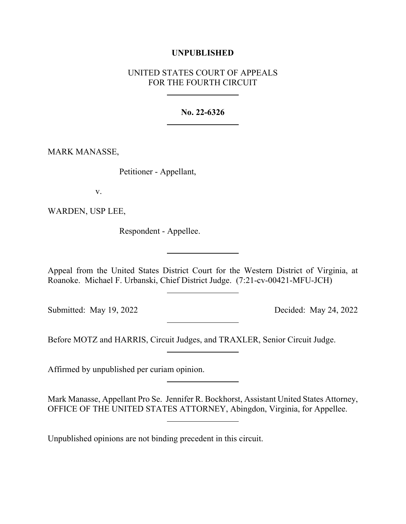## **UNPUBLISHED**

## UNITED STATES COURT OF APPEALS FOR THE FOURTH CIRCUIT

## **No. 22-6326**

MARK MANASSE,

Petitioner - Appellant,

v.

WARDEN, USP LEE,

Respondent - Appellee.

Appeal from the United States District Court for the Western District of Virginia, at Roanoke. Michael F. Urbanski, Chief District Judge. (7:21-cv-00421-MFU-JCH)

Submitted: May 19, 2022 Decided: May 24, 2022

Before MOTZ and HARRIS, Circuit Judges, and TRAXLER, Senior Circuit Judge.

Affirmed by unpublished per curiam opinion.

Mark Manasse, Appellant Pro Se. Jennifer R. Bockhorst, Assistant United States Attorney, OFFICE OF THE UNITED STATES ATTORNEY, Abingdon, Virginia, for Appellee.

Unpublished opinions are not binding precedent in this circuit.